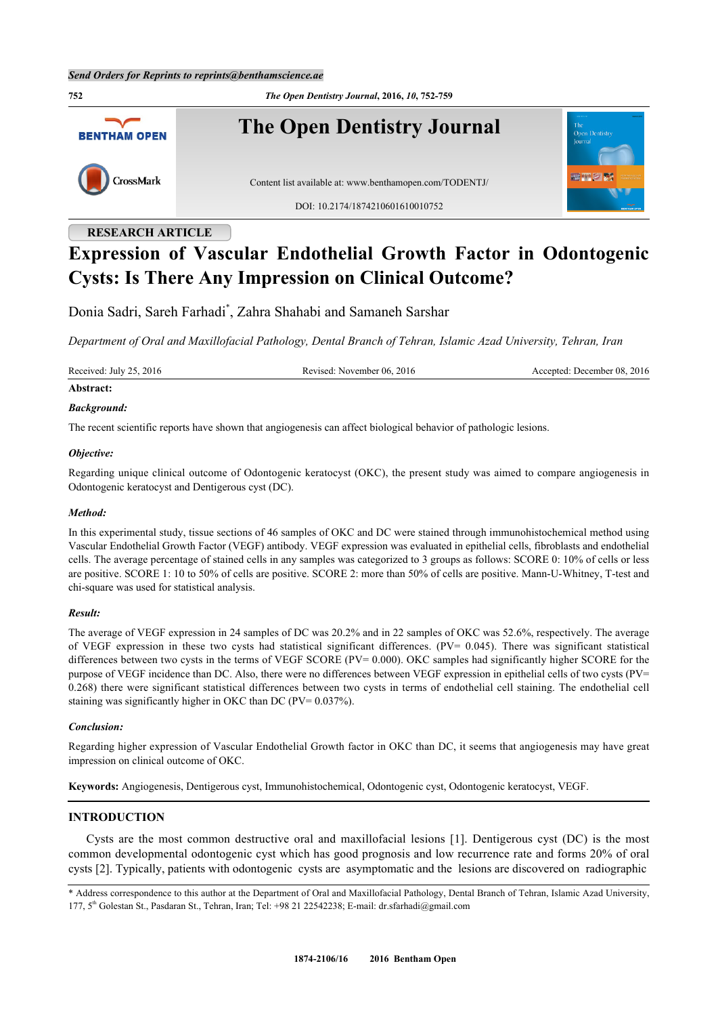**752** *The Open Dentistry Journal***, 2016,** *10***, 752-759 The Open Dentistry Journal BENTHAM OPEN** CrossMark Content list available at: [www.benthamopen.com/TODENTJ/](http://www.benthamopen.com/TODENTJ/) DOI: [10.2174/1874210601610010752](http://dx.doi.org/10.2174/1874210601610010752)

# **RESEARCH ARTICLE Expression of Vascular Endothelial Growth Factor in Odontogenic Cysts: Is There Any Impression on Clinical Outcome?**

Donia Sadri, Sareh Farhadi[\\*](#page-0-0) , Zahra Shahabi and Samaneh Sarshar

*Department of Oral and Maxillofacial Pathology, Dental Branch of Tehran, Islamic Azad University, Tehran, Iran*

Received: July 25, 2016 Revised: November 06, 2016 Revised: November 06, 2016 Accepted: December 08, 2016

# **Abstract:**

#### *Background:*

The recent scientific reports have shown that angiogenesis can affect biological behavior of pathologic lesions.

#### *Objective:*

Regarding unique clinical outcome of Odontogenic keratocyst (OKC), the present study was aimed to compare angiogenesis in Odontogenic keratocyst and Dentigerous cyst (DC).

#### *Method:*

In this experimental study, tissue sections of 46 samples of OKC and DC were stained through immunohistochemical method using Vascular Endothelial Growth Factor (VEGF) antibody. VEGF expression was evaluated in epithelial cells, fibroblasts and endothelial cells. The average percentage of stained cells in any samples was categorized to 3 groups as follows: SCORE 0: 10% of cells or less are positive. SCORE 1: 10 to 50% of cells are positive. SCORE 2: more than 50% of cells are positive. Mann-U-Whitney, T-test and chi-square was used for statistical analysis.

#### *Result:*

The average of VEGF expression in 24 samples of DC was 20.2% and in 22 samples of OKC was 52.6%, respectively. The average of VEGF expression in these two cysts had statistical significant differences. (PV= 0.045). There was significant statistical differences between two cysts in the terms of VEGF SCORE (PV= 0.000). OKC samples had significantly higher SCORE for the purpose of VEGF incidence than DC. Also, there were no differences between VEGF expression in epithelial cells of two cysts (PV= 0.268) there were significant statistical differences between two cysts in terms of endothelial cell staining. The endothelial cell staining was significantly higher in OKC than DC (PV= 0.037%).

#### *Conclusion:*

Regarding higher expression of Vascular Endothelial Growth factor in OKC than DC, it seems that angiogenesis may have great impression on clinical outcome of OKC.

**Keywords:** Angiogenesis, Dentigerous cyst, Immunohistochemical, Odontogenic cyst, Odontogenic keratocyst, VEGF.

# **INTRODUCTION**

Cysts are the most common destructive oral and maxillofacial lesions[[1\]](#page-5-0). Dentigerous cyst (DC) is the most common developmental odontogenic cyst which has good prognosis and low recurrence rate and forms 20% of oral cysts [[2\]](#page-5-1). Typically, patients with odontogenic cysts are asymptomatic and the lesions are discovered on radiographic

<span id="page-0-0"></span><sup>\*</sup> Address correspondence to this author at the Department of Oral and Maxillofacial Pathology, Dental Branch of Tehran, Islamic Azad University, 177, 5th Golestan St., Pasdaran St., Tehran, Iran; Tel: +98 21 22542238; E-mail: [dr.sfarhadi@gmail.com](mailto:dr.sfarhadi@gmail.com)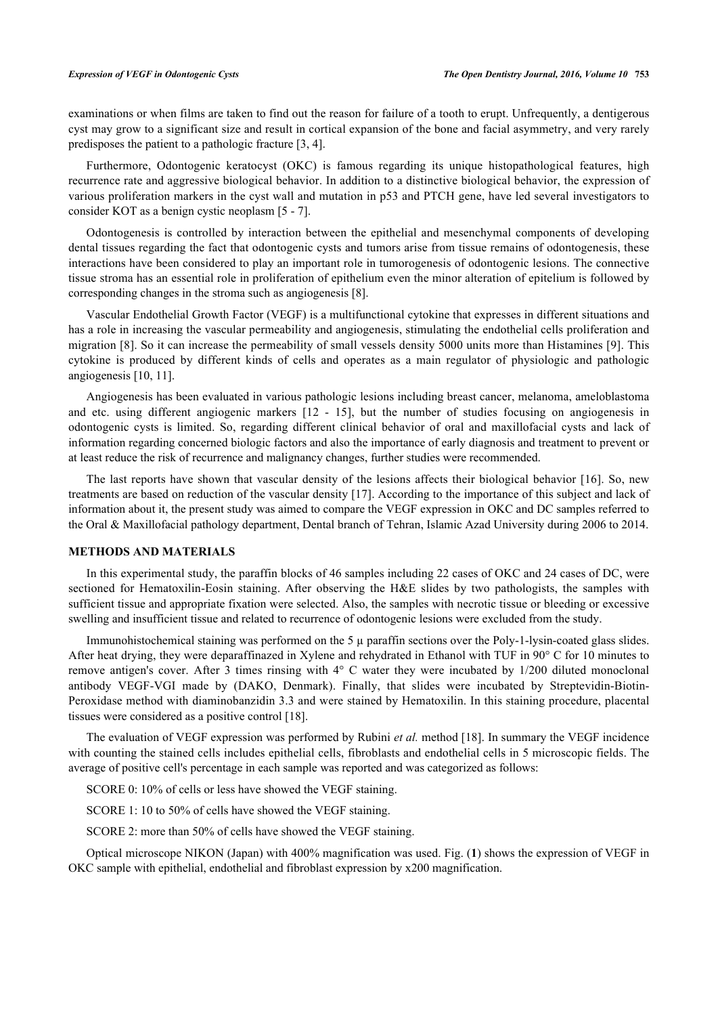examinations or when films are taken to find out the reason for failure of a tooth to erupt. Unfrequently, a dentigerous cyst may grow to a significant size and result in cortical expansion of the bone and facial asymmetry, and very rarely predisposes the patient to a pathologic fracture [\[3](#page-5-2), [4](#page-5-3)].

Furthermore, Odontogenic keratocyst (OKC) is famous regarding its unique histopathological features, high recurrence rate and aggressive biological behavior. In addition to a distinctive biological behavior, the expression of various proliferation markers in the cyst wall and mutation in p53 and PTCH gene, have led several investigators to consider KOT as a benign cystic neoplasm [[5](#page-5-4) - [7\]](#page-5-5).

Odontogenesis is controlled by interaction between the epithelial and mesenchymal components of developing dental tissues regarding the fact that odontogenic cysts and tumors arise from tissue remains of odontogenesis, these interactions have been considered to play an important role in tumorogenesis of odontogenic lesions. The connective tissue stroma has an essential role in proliferation of epithelium even the minor alteration of epitelium is followed by corresponding changes in the stroma such as angiogenesis [[8\]](#page-5-6).

Vascular Endothelial Growth Factor (VEGF) is a multifunctional cytokine that expresses in different situations and has a role in increasing the vascular permeability and angiogenesis, stimulating the endothelial cells proliferation and migration [[8\]](#page-5-6). So it can increase the permeability of small vessels density 5000 units more than Histamines [\[9\]](#page-5-7). This cytokine is produced by different kinds of cells and operates as a main regulator of physiologic and pathologic angiogenesis [\[10](#page-5-8), [11](#page-5-9)].

Angiogenesis has been evaluated in various pathologic lesions including breast cancer, melanoma, ameloblastoma and etc. using different angiogenic markers [\[12](#page-5-10) - [15](#page-6-0)], but the number of studies focusing on angiogenesis in odontogenic cysts is limited. So, regarding different clinical behavior of oral and maxillofacial cysts and lack of information regarding concerned biologic factors and also the importance of early diagnosis and treatment to prevent or at least reduce the risk of recurrence and malignancy changes, further studies were recommended.

The last reports have shown that vascular density of the lesions affects their biological behavior [[16](#page-6-1)]. So, new treatments are based on reduction of the vascular density [[17\]](#page-6-2). According to the importance of this subject and lack of information about it, the present study was aimed to compare the VEGF expression in OKC and DC samples referred to the Oral & Maxillofacial pathology department, Dental branch of Tehran, Islamic Azad University during 2006 to 2014.

#### **METHODS AND MATERIALS**

In this experimental study, the paraffin blocks of 46 samples including 22 cases of OKC and 24 cases of DC, were sectioned for Hematoxilin-Eosin staining. After observing the H&E slides by two pathologists, the samples with sufficient tissue and appropriate fixation were selected. Also, the samples with necrotic tissue or bleeding or excessive swelling and insufficient tissue and related to recurrence of odontogenic lesions were excluded from the study.

Immunohistochemical staining was performed on the 5  $\mu$  paraffin sections over the Poly-1-lysin-coated glass slides. After heat drying, they were deparaffinazed in Xylene and rehydrated in Ethanol with TUF in 90° C for 10 minutes to remove antigen's cover. After 3 times rinsing with 4° C water they were incubated by 1/200 diluted monoclonal antibody VEGF-VGI made by (DAKO, Denmark). Finally, that slides were incubated by Streptevidin-Biotin-Peroxidase method with diaminobanzidin 3.3 and were stained by Hematoxilin. In this staining procedure, placental tissues were considered as a positive control [[18\]](#page-6-3).

The evaluation of VEGF expression was performed by Rubini *et al.* method [[18](#page-6-3)]. In summary the VEGF incidence with counting the stained cells includes epithelial cells, fibroblasts and endothelial cells in 5 microscopic fields. The average of positive cell's percentage in each sample was reported and was categorized as follows:

SCORE 0: 10% of cells or less have showed the VEGF staining.

SCORE 1: 10 to 50% of cells have showed the VEGF staining.

SCORE 2: more than 50% of cells have showed the VEGF staining.

<span id="page-1-0"></span>Optical microscope NIKON (Japan) with 400% magnification was used. Fig. (**[1](#page-1-0)**) shows the expression of VEGF in OKC sample with epithelial, endothelial and fibroblast expression by x200 magnification.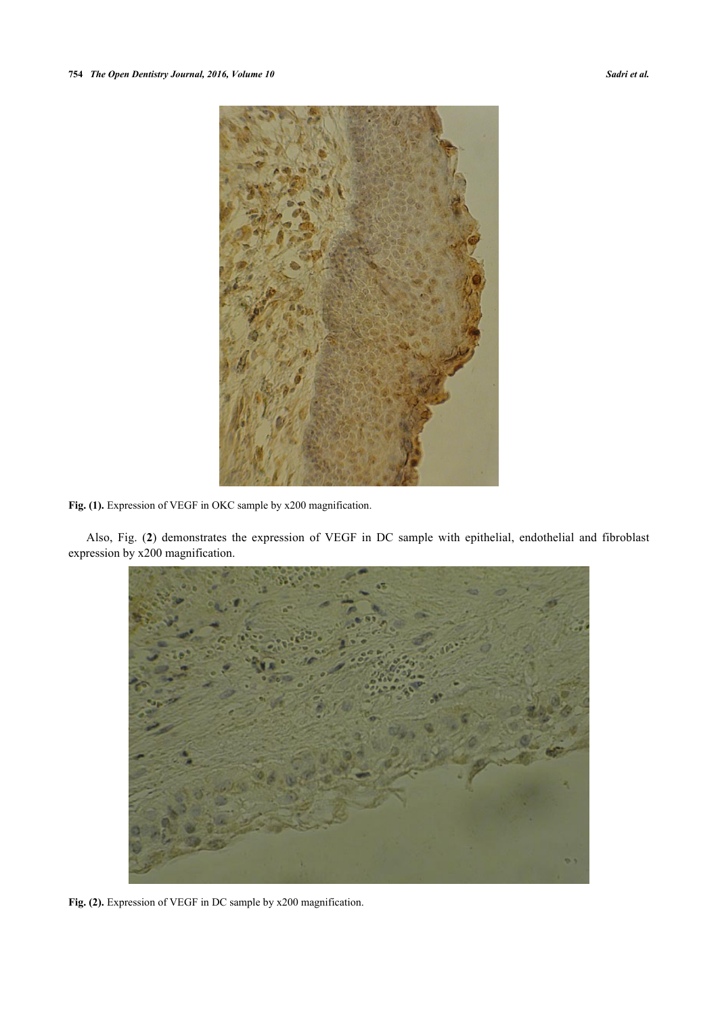

**Fig. (1).** Expression of VEGF in OKC sample by x200 magnification.

Also, Fig. (**[2](#page-2-0)**) demonstrates the expression of VEGF in DC sample with epithelial, endothelial and fibroblast expression by x200 magnification.

<span id="page-2-0"></span>

Fig. (2). Expression of VEGF in DC sample by x200 magnification.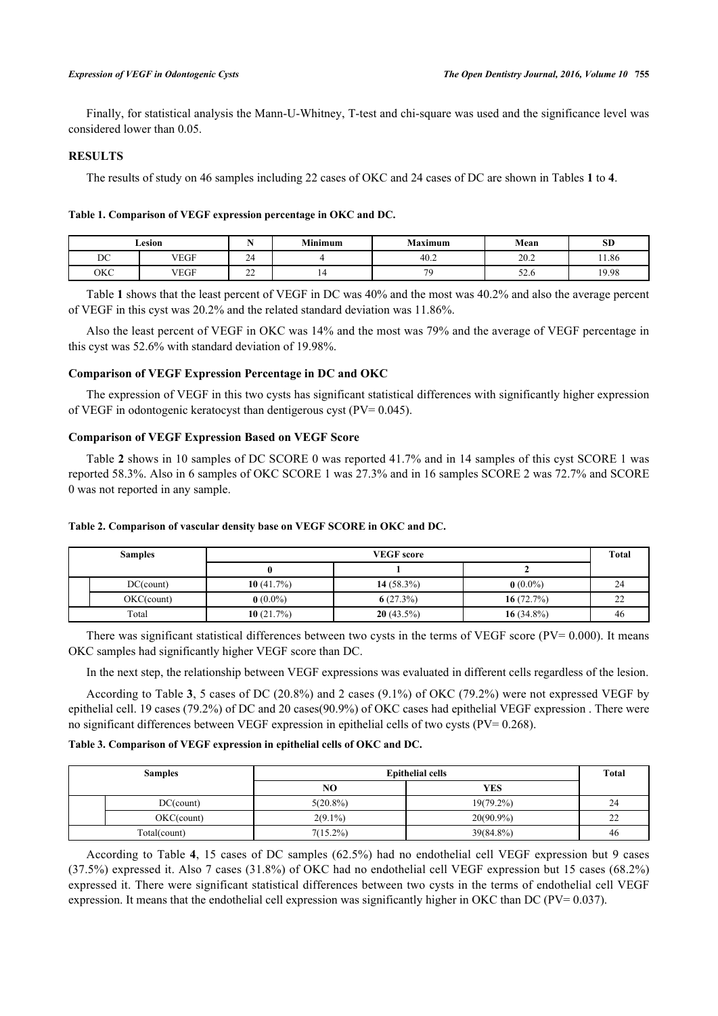Finally, for statistical analysis the Mann-U-Whitney, T-test and chi-square was used and the significance level was considered lower than 0.05.

# **RESULTS**

The results of study on 46 samples including 22 cases of OKC and 24 cases of DC are shown in Tables **[1](#page-3-0)** to **[4](#page-4-0)**.

#### <span id="page-3-0"></span>**Table 1. Comparison of VEGF expression percentage in OKC and DC.**

|     | Lesion      |               | <b>Minimum</b> | <b>Maximum</b> | Mean                    | SD    |
|-----|-------------|---------------|----------------|----------------|-------------------------|-------|
| DC  | <b>VEGF</b> | $\sim$<br>-24 |                | 40.2           | 20.2                    | 11.86 |
| окс | VEGF        | $\sim$<br>ے ت | . .            | 70             | - -<br>$J\mathcal{L}.U$ | 19.98 |

Table **[1](#page-3-0)** shows that the least percent of VEGF in DC was 40% and the most was 40.2% and also the average percent of VEGF in this cyst was 20.2% and the related standard deviation was 11.86%.

Also the least percent of VEGF in OKC was 14% and the most was 79% and the average of VEGF percentage in this cyst was 52.6% with standard deviation of 19.98%.

# **Comparison of VEGF Expression Percentage in DC and OKC**

The expression of VEGF in this two cysts has significant statistical differences with significantly higher expression of VEGF in odontogenic keratocyst than dentigerous cyst (PV= 0.045).

# **Comparison of VEGF Expression Based on VEGF Score**

Table **[2](#page-3-1)** shows in 10 samples of DC SCORE 0 was reported 41.7% and in 14 samples of this cyst SCORE 1 was reported 58.3%. Also in 6 samples of OKC SCORE 1 was 27.3% and in 16 samples SCORE 2 was 72.7% and SCORE 0 was not reported in any sample.

| <b>Samples</b> |               | <b>VEGF</b> score |               |               | Total  |
|----------------|---------------|-------------------|---------------|---------------|--------|
|                |               |                   |               |               |        |
|                | $DC$ (count)  | 10 $(41.7%)$      | 14 $(58.3\%)$ | $0(0.0\%)$    | 24     |
|                | $OKC$ (count) | $0(0.0\%)$        | 6(27.3%)      | 16 $(72.7%)$  | $\sim$ |
| Total          |               | 10 $(21.7%)$      | $20(43.5\%)$  | 16 $(34.8\%)$ | 46     |

#### <span id="page-3-1"></span>**Table 2. Comparison of vascular density base on VEGF SCORE in OKC and DC.**

There was significant statistical differences between two cysts in the terms of VEGF score ( $PV = 0.000$ ). It means OKC samples had significantly higher VEGF score than DC.

In the next step, the relationship between VEGF expressions was evaluated in different cells regardless of the lesion.

According to Table **[3](#page-3-2)**, 5 cases of DC (20.8%) and 2 cases (9.1%) of OKC (79.2%) were not expressed VEGF by epithelial cell. 19 cases (79.2%) of DC and 20 cases(90.9%) of OKC cases had epithelial VEGF expression . There were no significant differences between VEGF expression in epithelial cells of two cysts (PV= 0.268).

#### <span id="page-3-2"></span>**Table 3. Comparison of VEGF expression in epithelial cells of OKC and DC.**

| <b>Samples</b> |               | <b>Epithelial cells</b> | <b>Total</b> |    |
|----------------|---------------|-------------------------|--------------|----|
|                |               | NO                      | <b>YES</b>   |    |
|                | $DC$ (count)  | $5(20.8\%)$             | $19(79.2\%)$ | 24 |
|                | $OKC$ (count) | $2(9.1\%)$              | $20(90.9\%)$ | 22 |
| Total(count)   |               | $7(15.2\%)$             | 39(84.8%)    | 46 |

According to Table **[4](#page-4-0)**, 15 cases of DC samples (62.5%) had no endothelial cell VEGF expression but 9 cases (37.5%) expressed it. Also 7 cases (31.8%) of OKC had no endothelial cell VEGF expression but 15 cases (68.2%) expressed it. There were significant statistical differences between two cysts in the terms of endothelial cell VEGF expression. It means that the endothelial cell expression was significantly higher in OKC than DC (PV= 0.037).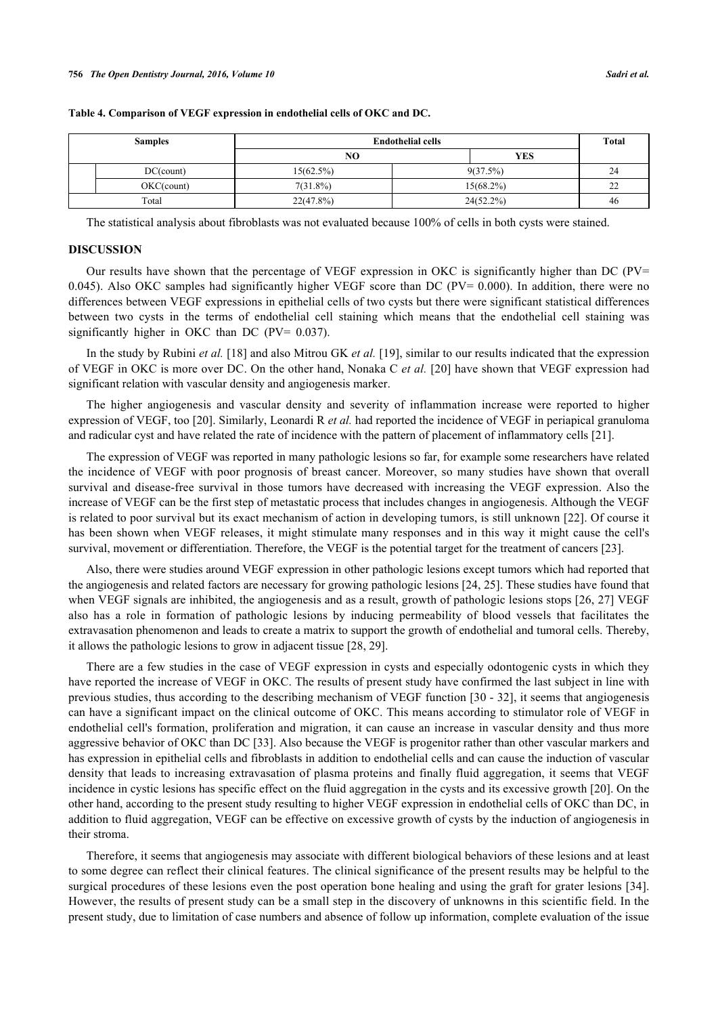| <b>Samples</b> |               | <b>Endothelial cells</b> | Total        |    |
|----------------|---------------|--------------------------|--------------|----|
|                |               | NO                       | <b>YES</b>   |    |
|                | $DC$ (count)  | 15(62.5%)                | $9(37.5\%)$  | 24 |
|                | $OKC$ (count) | $7(31.8\%)$              | $15(68.2\%)$ | 22 |
| Total          |               | $22(47.8\%)$             | $24(52.2\%)$ | 46 |

#### <span id="page-4-0"></span>**Table 4. Comparison of VEGF expression in endothelial cells of OKC and DC.**

The statistical analysis about fibroblasts was not evaluated because 100% of cells in both cysts were stained.

#### **DISCUSSION**

Our results have shown that the percentage of VEGF expression in OKC is significantly higher than DC ( $PV$ = 0.045). Also OKC samples had significantly higher VEGF score than DC (PV= 0.000). In addition, there were no differences between VEGF expressions in epithelial cells of two cysts but there were significant statistical differences between two cysts in the terms of endothelial cell staining which means that the endothelial cell staining was significantly higher in OKC than DC (PV= 0.037).

In the study by Rubini *et al.* [\[18\]](#page-6-3) and also Mitrou GK *et al.* [[19\]](#page-6-4), similar to our results indicated that the expression of VEGF in OKC is more over DC. On the other hand, Nonaka C *et al.* [[20\]](#page-6-5) have shown that VEGF expression had significant relation with vascular density and angiogenesis marker.

The higher angiogenesis and vascular density and severity of inflammation increase were reported to higher expression of VEGF, too [\[20](#page-6-5)]. Similarly, Leonardi R *et al.* had reported the incidence of VEGF in periapical granuloma and radicular cyst and have related the rate of incidence with the pattern of placement of inflammatory cells [[21\]](#page-6-6).

The expression of VEGF was reported in many pathologic lesions so far, for example some researchers have related the incidence of VEGF with poor prognosis of breast cancer. Moreover, so many studies have shown that overall survival and disease-free survival in those tumors have decreased with increasing the VEGF expression. Also the increase of VEGF can be the first step of metastatic process that includes changes in angiogenesis. Although the VEGF is related to poor survival but its exact mechanism of action in developing tumors, is still unknown [[22](#page-6-7)]. Of course it has been shown when VEGF releases, it might stimulate many responses and in this way it might cause the cell's survival, movement or differentiation. Therefore, the VEGF is the potential target for the treatment of cancers [[23\]](#page-6-8).

Also, there were studies around VEGF expression in other pathologic lesions except tumors which had reported that the angiogenesis and related factors are necessary for growing pathologic lesions [\[24](#page-6-9), [25](#page-6-10)]. These studies have found that when VEGF signals are inhibited, the angiogenesis and as a result, growth of pathologic lesions stops [\[26,](#page-6-11) [27](#page-6-12)] VEGF also has a role in formation of pathologic lesions by inducing permeability of blood vessels that facilitates the extravasation phenomenon and leads to create a matrix to support the growth of endothelial and tumoral cells. Thereby, it allows the pathologic lesions to grow in adjacent tissue [\[28](#page-6-13), [29](#page-6-14)].

There are a few studies in the case of VEGF expression in cysts and especially odontogenic cysts in which they have reported the increase of VEGF in OKC. The results of present study have confirmed the last subject in line with previous studies, thus according to the describing mechanism of VEGF function [\[30](#page-6-15) - [32\]](#page-6-16), it seems that angiogenesis can have a significant impact on the clinical outcome of OKC. This means according to stimulator role of VEGF in endothelial cell's formation, proliferation and migration, it can cause an increase in vascular density and thus more aggressive behavior of OKC than DC [\[33](#page-7-0)]. Also because the VEGF is progenitor rather than other vascular markers and has expression in epithelial cells and fibroblasts in addition to endothelial cells and can cause the induction of vascular density that leads to increasing extravasation of plasma proteins and finally fluid aggregation, it seems that VEGF incidence in cystic lesions has specific effect on the fluid aggregation in the cysts and its excessive growth [[20\]](#page-6-5). On the other hand, according to the present study resulting to higher VEGF expression in endothelial cells of OKC than DC, in addition to fluid aggregation, VEGF can be effective on excessive growth of cysts by the induction of angiogenesis in their stroma.

Therefore, it seems that angiogenesis may associate with different biological behaviors of these lesions and at least to some degree can reflect their clinical features. The clinical significance of the present results may be helpful to the surgical procedures of these lesions even the post operation bone healing and using the graft for grater lesions [\[34\]](#page-7-1). However, the results of present study can be a small step in the discovery of unknowns in this scientific field. In the present study, due to limitation of case numbers and absence of follow up information, complete evaluation of the issue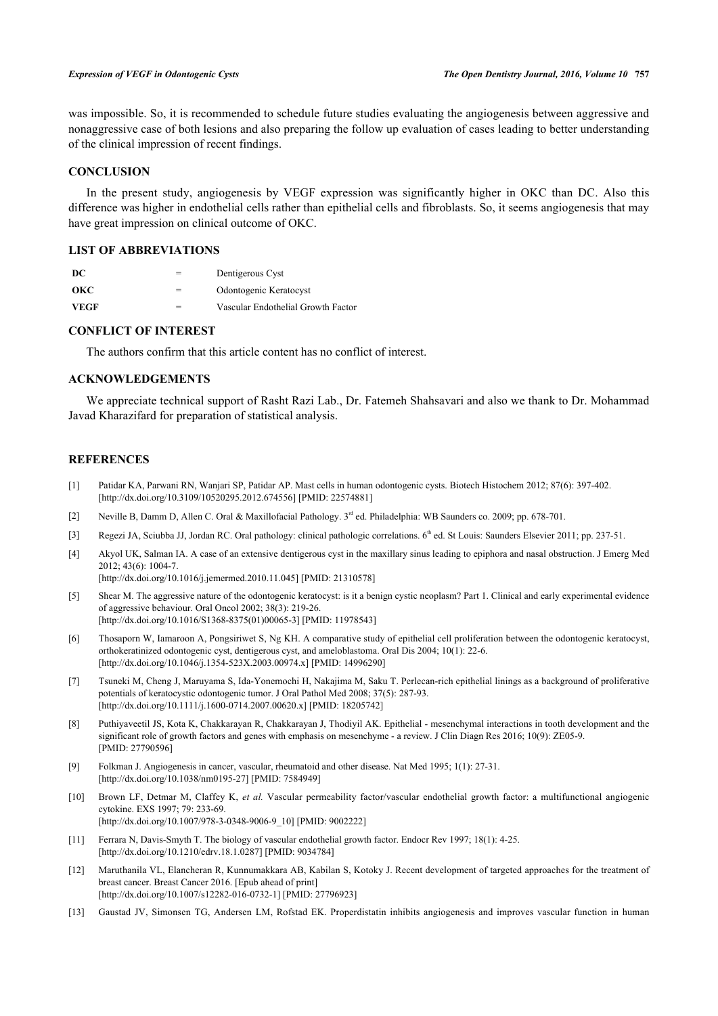was impossible. So, it is recommended to schedule future studies evaluating the angiogenesis between aggressive and nonaggressive case of both lesions and also preparing the follow up evaluation of cases leading to better understanding of the clinical impression of recent findings.

# **CONCLUSION**

In the present study, angiogenesis by VEGF expression was significantly higher in OKC than DC. Also this difference was higher in endothelial cells rather than epithelial cells and fibroblasts. So, it seems angiogenesis that may have great impression on clinical outcome of OKC.

# **LIST OF ABBREVIATIONS**

| -DC         | = | Dentigerous Cyst                   |
|-------------|---|------------------------------------|
| окс         | = | Odontogenic Keratocyst             |
| <b>VEGF</b> | = | Vascular Endothelial Growth Factor |

# **CONFLICT OF INTEREST**

The authors confirm that this article content has no conflict of interest.

# **ACKNOWLEDGEMENTS**

We appreciate technical support of Rasht Razi Lab., Dr. Fatemeh Shahsavari and also we thank to Dr. Mohammad Javad Kharazifard for preparation of statistical analysis.

#### **REFERENCES**

- <span id="page-5-0"></span>[1] Patidar KA, Parwani RN, Wanjari SP, Patidar AP. Mast cells in human odontogenic cysts. Biotech Histochem 2012; 87(6): 397-402. [\[http://dx.doi.org/10.3109/10520295.2012.674556\]](http://dx.doi.org/10.3109/10520295.2012.674556) [PMID: [22574881](http://www.ncbi.nlm.nih.gov/pubmed/22574881)]
- <span id="page-5-1"></span>[2] Neville B, Damm D, Allen C. Oral & Maxillofacial Pathology. 3rd ed. Philadelphia: WB Saunders co. 2009; pp. 678-701.
- <span id="page-5-2"></span>[3] Regezi JA, Sciubba JJ, Jordan RC. Oral pathology: clinical pathologic correlations. 6<sup>th</sup> ed. St Louis: Saunders Elsevier 2011; pp. 237-51.
- <span id="page-5-3"></span>[4] Akyol UK, Salman IA. A case of an extensive dentigerous cyst in the maxillary sinus leading to epiphora and nasal obstruction. J Emerg Med 2012; 43(6): 1004-7.
	- [\[http://dx.doi.org/10.1016/j.jemermed.2010.11.045](http://dx.doi.org/10.1016/j.jemermed.2010.11.045)] [PMID: [21310578\]](http://www.ncbi.nlm.nih.gov/pubmed/21310578)
- <span id="page-5-4"></span>[5] Shear M. The aggressive nature of the odontogenic keratocyst: is it a benign cystic neoplasm? Part 1. Clinical and early experimental evidence of aggressive behaviour. Oral Oncol 2002; 38(3): 219-26. [\[http://dx.doi.org/10.1016/S1368-8375\(01\)00065-3\]](http://dx.doi.org/10.1016/S1368-8375(01)00065-3) [PMID: [11978543](http://www.ncbi.nlm.nih.gov/pubmed/11978543)]
- [6] Thosaporn W, Iamaroon A, Pongsiriwet S, Ng KH. A comparative study of epithelial cell proliferation between the odontogenic keratocyst, orthokeratinized odontogenic cyst, dentigerous cyst, and ameloblastoma. Oral Dis 2004; 10(1): 22-6. [\[http://dx.doi.org/10.1046/j.1354-523X.2003.00974.x](http://dx.doi.org/10.1046/j.1354-523X.2003.00974.x)] [PMID: [14996290](http://www.ncbi.nlm.nih.gov/pubmed/14996290)]
- <span id="page-5-5"></span>[7] Tsuneki M, Cheng J, Maruyama S, Ida-Yonemochi H, Nakajima M, Saku T. Perlecan-rich epithelial linings as a background of proliferative potentials of keratocystic odontogenic tumor. J Oral Pathol Med 2008; 37(5): 287-93. [\[http://dx.doi.org/10.1111/j.1600-0714.2007.00620.x\]](http://dx.doi.org/10.1111/j.1600-0714.2007.00620.x) [PMID: [18205742](http://www.ncbi.nlm.nih.gov/pubmed/18205742)]
- <span id="page-5-6"></span>[8] Puthiyaveetil JS, Kota K, Chakkarayan R, Chakkarayan J, Thodiyil AK. Epithelial - mesenchymal interactions in tooth development and the significant role of growth factors and genes with emphasis on mesenchyme - a review. J Clin Diagn Res 2016; 10(9): ZE05-9. [PMID: [27790596\]](http://www.ncbi.nlm.nih.gov/pubmed/27790596)
- <span id="page-5-7"></span>[9] Folkman J. Angiogenesis in cancer, vascular, rheumatoid and other disease. Nat Med 1995; 1(1): 27-31. [\[http://dx.doi.org/10.1038/nm0195-27\]](http://dx.doi.org/10.1038/nm0195-27) [PMID: [7584949](http://www.ncbi.nlm.nih.gov/pubmed/7584949)]
- <span id="page-5-8"></span>[10] Brown LF, Detmar M, Claffey K, *et al.* Vascular permeability factor/vascular endothelial growth factor: a multifunctional angiogenic cytokine. EXS 1997; 79: 233-69. [\[http://dx.doi.org/10.1007/978-3-0348-9006-9\\_10](http://dx.doi.org/10.1007/978-3-0348-9006-9_10)] [PMID: [9002222](http://www.ncbi.nlm.nih.gov/pubmed/9002222)]
- <span id="page-5-9"></span>[11] Ferrara N, Davis-Smyth T. The biology of vascular endothelial growth factor. Endocr Rev 1997; 18(1): 4-25. [\[http://dx.doi.org/10.1210/edrv.18.1.0287](http://dx.doi.org/10.1210/edrv.18.1.0287)] [PMID: [9034784\]](http://www.ncbi.nlm.nih.gov/pubmed/9034784)
- <span id="page-5-10"></span>[12] Maruthanila VL, Elancheran R, Kunnumakkara AB, Kabilan S, Kotoky J. Recent development of targeted approaches for the treatment of breast cancer. Breast Cancer 2016. [Epub ahead of print] [\[http://dx.doi.org/10.1007/s12282-016-0732-1\]](http://dx.doi.org/10.1007/s12282-016-0732-1) [PMID: [27796923](http://www.ncbi.nlm.nih.gov/pubmed/27796923)]
- [13] Gaustad JV, Simonsen TG, Andersen LM, Rofstad EK. Properdistatin inhibits angiogenesis and improves vascular function in human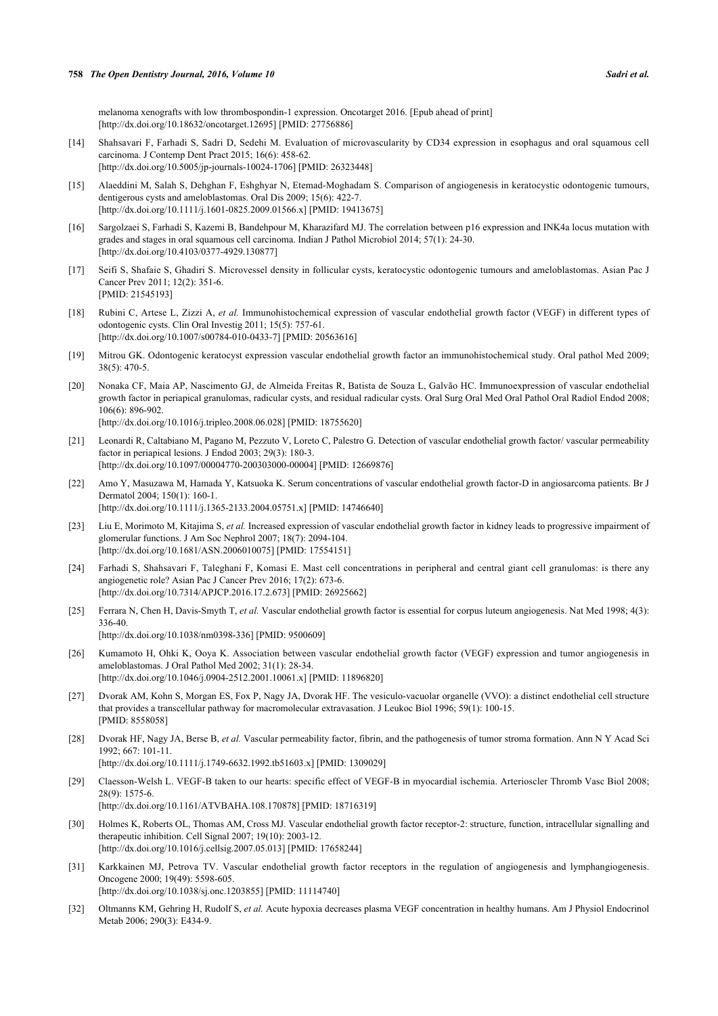melanoma xenografts with low thrombospondin-1 expression. Oncotarget 2016. [Epub ahead of print] [\[http://dx.doi.org/10.18632/oncotarget.12695\]](http://dx.doi.org/10.18632/oncotarget.12695) [PMID: [27756886](http://www.ncbi.nlm.nih.gov/pubmed/27756886)]

- [14] Shahsavari F, Farhadi S, Sadri D, Sedehi M. Evaluation of microvascularity by CD34 expression in esophagus and oral squamous cell carcinoma. J Contemp Dent Pract 2015; 16(6): 458-62. [\[http://dx.doi.org/10.5005/jp-journals-10024-1706\]](http://dx.doi.org/10.5005/jp-journals-10024-1706) [PMID: [26323448](http://www.ncbi.nlm.nih.gov/pubmed/26323448)]
- <span id="page-6-0"></span>[15] Alaeddini M, Salah S, Dehghan F, Eshghyar N, Etemad-Moghadam S. Comparison of angiogenesis in keratocystic odontogenic tumours, dentigerous cysts and ameloblastomas. Oral Dis 2009; 15(6): 422-7. [\[http://dx.doi.org/10.1111/j.1601-0825.2009.01566.x\]](http://dx.doi.org/10.1111/j.1601-0825.2009.01566.x) [PMID: [19413675](http://www.ncbi.nlm.nih.gov/pubmed/19413675)]
- <span id="page-6-1"></span>[16] Sargolzaei S, Farhadi S, Kazemi B, Bandehpour M, Kharazifard MJ. The correlation between p16 expression and INK4a locus mutation with grades and stages in oral squamous cell carcinoma. Indian J Pathol Microbiol 2014; 57(1): 24-30. [\[http://dx.doi.org/10.4103/0377-4929.130877](http://dx.doi.org/10.4103/0377-4929.130877)]
- <span id="page-6-2"></span>[17] Seifi S, Shafaie S, Ghadiri S. Microvessel density in follicular cysts, keratocystic odontogenic tumours and ameloblastomas. Asian Pac J Cancer Prev 2011; 12(2): 351-6. [PMID: [21545193\]](http://www.ncbi.nlm.nih.gov/pubmed/21545193)
- <span id="page-6-3"></span>[18] Rubini C, Artese L, Zizzi A, *et al.* Immunohistochemical expression of vascular endothelial growth factor (VEGF) in different types of odontogenic cysts. Clin Oral Investig 2011; 15(5): 757-61. [\[http://dx.doi.org/10.1007/s00784-010-0433-7\]](http://dx.doi.org/10.1007/s00784-010-0433-7) [PMID: [20563616](http://www.ncbi.nlm.nih.gov/pubmed/20563616)]
- <span id="page-6-4"></span>[19] Mitrou GK. Odontogenic keratocyst expression vascular endothelial growth factor an immunohistochemical study. Oral pathol Med 2009; 38(5): 470-5.
- <span id="page-6-5"></span>[20] Nonaka CF, Maia AP, Nascimento GJ, de Almeida Freitas R, Batista de Souza L, Galvão HC. Immunoexpression of vascular endothelial growth factor in periapical granulomas, radicular cysts, and residual radicular cysts. Oral Surg Oral Med Oral Pathol Oral Radiol Endod 2008; 106(6): 896-902. [\[http://dx.doi.org/10.1016/j.tripleo.2008.06.028\]](http://dx.doi.org/10.1016/j.tripleo.2008.06.028) [PMID: [18755620](http://www.ncbi.nlm.nih.gov/pubmed/18755620)]
- <span id="page-6-6"></span>[21] Leonardi R, Caltabiano M, Pagano M, Pezzuto V, Loreto C, Palestro G. Detection of vascular endothelial growth factor/ vascular permeability factor in periapical lesions. J Endod 2003; 29(3): 180-3. [\[http://dx.doi.org/10.1097/00004770-200303000-00004](http://dx.doi.org/10.1097/00004770-200303000-00004)] [PMID: [12669876\]](http://www.ncbi.nlm.nih.gov/pubmed/12669876)
- <span id="page-6-7"></span>[22] Amo Y, Masuzawa M, Hamada Y, Katsuoka K. Serum concentrations of vascular endothelial growth factor-D in angiosarcoma patients. Br J Dermatol 2004; 150(1): 160-1. [\[http://dx.doi.org/10.1111/j.1365-2133.2004.05751.x\]](http://dx.doi.org/10.1111/j.1365-2133.2004.05751.x) [PMID: [14746640](http://www.ncbi.nlm.nih.gov/pubmed/14746640)]
- <span id="page-6-8"></span>[23] Liu E, Morimoto M, Kitajima S, *et al.* Increased expression of vascular endothelial growth factor in kidney leads to progressive impairment of glomerular functions. J Am Soc Nephrol 2007; 18(7): 2094-104. [\[http://dx.doi.org/10.1681/ASN.2006010075\]](http://dx.doi.org/10.1681/ASN.2006010075) [PMID: [17554151](http://www.ncbi.nlm.nih.gov/pubmed/17554151)]
- <span id="page-6-9"></span>[24] Farhadi S, Shahsavari F, Taleghani F, Komasi E. Mast cell concentrations in peripheral and central giant cell granulomas: is there any angiogenetic role? Asian Pac J Cancer Prev 2016; 17(2): 673-6. [\[http://dx.doi.org/10.7314/APJCP.2016.17.2.673\]](http://dx.doi.org/10.7314/APJCP.2016.17.2.673) [PMID: [26925662](http://www.ncbi.nlm.nih.gov/pubmed/26925662)]
- <span id="page-6-10"></span>[25] Ferrara N, Chen H, Davis-Smyth T, *et al.* Vascular endothelial growth factor is essential for corpus luteum angiogenesis. Nat Med 1998; 4(3): 336-40.

[\[http://dx.doi.org/10.1038/nm0398-336\]](http://dx.doi.org/10.1038/nm0398-336) [PMID: [9500609](http://www.ncbi.nlm.nih.gov/pubmed/9500609)]

- <span id="page-6-11"></span>[26] Kumamoto H, Ohki K, Ooya K. Association between vascular endothelial growth factor (VEGF) expression and tumor angiogenesis in ameloblastomas. J Oral Pathol Med 2002; 31(1): 28-34. [\[http://dx.doi.org/10.1046/j.0904-2512.2001.10061.x\]](http://dx.doi.org/10.1046/j.0904-2512.2001.10061.x) [PMID: [11896820](http://www.ncbi.nlm.nih.gov/pubmed/11896820)]
- <span id="page-6-12"></span>[27] Dvorak AM, Kohn S, Morgan ES, Fox P, Nagy JA, Dvorak HF. The vesiculo-vacuolar organelle (VVO): a distinct endothelial cell structure that provides a transcellular pathway for macromolecular extravasation. J Leukoc Biol 1996; 59(1): 100-15. [PMID: [8558058\]](http://www.ncbi.nlm.nih.gov/pubmed/8558058)
- <span id="page-6-13"></span>[28] Dvorak HF, Nagy JA, Berse B, *et al.* Vascular permeability factor, fibrin, and the pathogenesis of tumor stroma formation. Ann N Y Acad Sci 1992; 667: 101-11.

[\[http://dx.doi.org/10.1111/j.1749-6632.1992.tb51603.x\]](http://dx.doi.org/10.1111/j.1749-6632.1992.tb51603.x) [PMID: [1309029](http://www.ncbi.nlm.nih.gov/pubmed/1309029)]

<span id="page-6-14"></span>[29] Claesson-Welsh L. VEGF-B taken to our hearts: specific effect of VEGF-B in myocardial ischemia. Arterioscler Thromb Vasc Biol 2008; 28(9): 1575-6.

[\[http://dx.doi.org/10.1161/ATVBAHA.108.170878\]](http://dx.doi.org/10.1161/ATVBAHA.108.170878) [PMID: [18716319](http://www.ncbi.nlm.nih.gov/pubmed/18716319)]

- <span id="page-6-15"></span>[30] Holmes K, Roberts OL, Thomas AM, Cross MJ. Vascular endothelial growth factor receptor-2: structure, function, intracellular signalling and therapeutic inhibition. Cell Signal 2007; 19(10): 2003-12. [\[http://dx.doi.org/10.1016/j.cellsig.2007.05.013\]](http://dx.doi.org/10.1016/j.cellsig.2007.05.013) [PMID: [17658244](http://www.ncbi.nlm.nih.gov/pubmed/17658244)]
- [31] Karkkainen MJ, Petrova TV. Vascular endothelial growth factor receptors in the regulation of angiogenesis and lymphangiogenesis. Oncogene 2000; 19(49): 5598-605. [\[http://dx.doi.org/10.1038/sj.onc.1203855\]](http://dx.doi.org/10.1038/sj.onc.1203855) [PMID: [11114740](http://www.ncbi.nlm.nih.gov/pubmed/11114740)]
- <span id="page-6-16"></span>[32] Oltmanns KM, Gehring H, Rudolf S, *et al.* Acute hypoxia decreases plasma VEGF concentration in healthy humans. Am J Physiol Endocrinol Metab 2006; 290(3): E434-9.